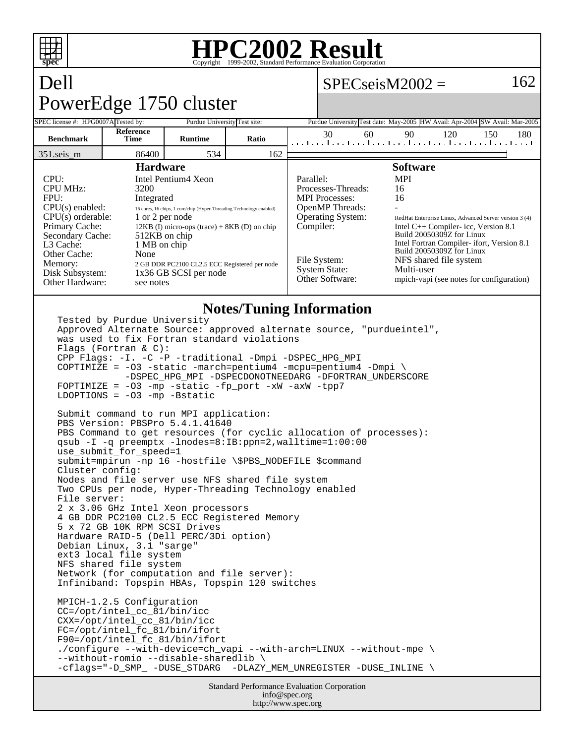

### **HPC2002 Result** Copyright ©1999-2002, Stand

## Dell PowerEdge 1750 cluster

## $SPECseisM2002 =$

SPEC license #: HPG0007A Tested by: Purdue University Test site: Purdue University Test date: May-2005 HW Avail: Apr-2004 SW Avail: Mar-2005 **Benchmark Reference Time Runtime Ratio** 30 60 90 120 150 180 351.seis\_m 86400 534 162 **Hardware** CPU: Intel Pentium4 Xeon CPU MHz: 3200 FPU: Integrated CPU(s) enabled: 16 cores, 16 chips, 1 core/chip (Hyper-Threading Technology enabled) CPU(s) orderable: 1 or 2 per node<br>Primary Cache: 12KB (I) micro-op 12KB (I) micro-ops (trace) + 8KB (D) on chip<br>512KB on chip Secondary Cache: L3 Cache: 1 MB on chip Other Cache: None Memory: 2 GB DDR PC2100 CL2.5 ECC Registered per node<br>Disk Subsystem: 1x36 GB SCSI per node 1x36 GB SCSI per node Other Hardware: see notes **Software** Parallel: MPI Processes-Threads: 16 MPI Processes: 16 OpenMP Threads: - Operating System: RedHat Enterprise Linux, Advanced Server version 3 (4)<br>
Compiler: Intel C++ Compiler- icc, Version 8.1 Intel C++ Compiler- icc, Version 8.1 Build 20050309Z for Linux Intel Fortran Compiler- ifort, Version 8.1 Build 20050309Z for Linux File System: NFS shared file system System State: Multi-user<br>Other Software: mpich-vapi mpich-vapi (see notes for configuration)

## **Notes/Tuning Information**

Tested by Purdue University Approved Alternate Source: approved alternate source, "purdueintel", was used to fix Fortran standard violations Flags (Fortran & C): CPP Flags: -I. -C -P -traditional -Dmpi -DSPEC\_HPG\_MPI COPTIMIZE = -O3 -static -march=pentium4 -mcpu=pentium4 -Dmpi \ -DSPEC\_HPG\_MPI -DSPECDONOTNEEDARG -DFORTRAN\_UNDERSCORE  $FOPTIMEZE = -03 -mp -static -fp\_port -xW -axW -tpP7$ LDOPTIONS =  $-03$  -mp -Bstatic Submit command to run MPI application: PBS Version: PBSPro 5.4.1.41640 PBS Command to get resources (for cyclic allocation of processes): qsub -I -q preemptx -lnodes=8:IB:ppn=2,walltime=1:00:00 use\_submit\_for\_speed=1 submit=mpirun -np 16 -hostfile \\$PBS\_NODEFILE \$command Cluster config: Nodes and file server use NFS shared file system Two CPUs per node, Hyper-Threading Technology enabled File server: 2 x 3.06 GHz Intel Xeon processors 4 GB DDR PC2100 CL2.5 ECC Registered Memory 5 x 72 GB 10K RPM SCSI Drives Hardware RAID-5 (Dell PERC/3Di option) Debian Linux, 3.1 "sarge" ext3 local file system NFS shared file system Network (for computation and file server): Infiniband: Topspin HBAs, Topspin 120 switches MPICH-1.2.5 Configuration CC=/opt/intel\_cc\_81/bin/icc CXX=/opt/intel\_cc\_81/bin/icc FC=/opt/intel\_fc\_81/bin/ifort F90=/opt/intel\_fc\_81/bin/ifort ./configure --with-device=ch\_vapi --with-arch=LINUX --without-mpe \ --without-romio --disable-sharedlib \ -cflags="-D\_SMP\_ -DUSE\_STDARG -DLAZY\_MEM\_UNREGISTER -DUSE\_INLINE \

```
Standard Performance Evaluation Corporation
              info@spec.org
            http://www.spec.org
```